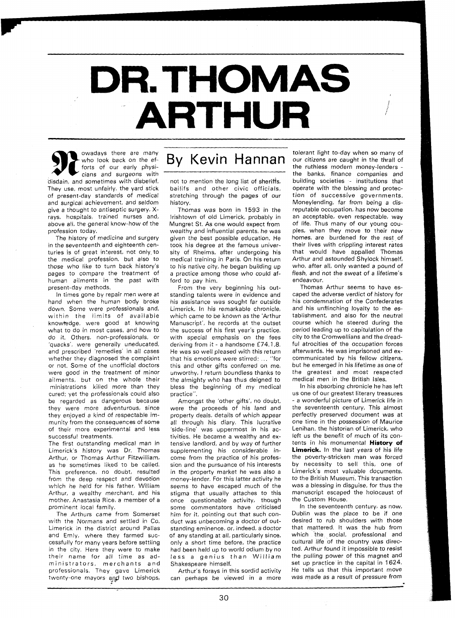## DR. THOMAS **ARTHUR**

**Example 18 years of the State of State 18 years of the State of State 18 years of the State 18 years and surgeons with disheliat** forts of our early physidisdain, and sometimes wiih disbelief. They use, most unfairly, the yard stick of present-day standards of medical and surgical achievement, and seldom give a thought to antiseptic surgery, **X**rays, hospitals, trained nurses and, above all, the general know-how of the profession today.

The history of medicine and surgery in the seventeenth and eighteenth centuries is of great interest, not only-to the medical profession, but also to those who like to turn back history's pages to compare the treatment of human ailments in the past with present-day methods.

In times gone by repair men were at hand when the human body broke down. Some were professionals and, wirhin the limits of available knowtedge, were good at knowing what to do in most cases, and how to do it. Others, non-professionals, or 'quacks', were generally uneducated, and prescribed 'remedies' in all cases whether they diagnosed the complaint or not. Some of the unofficial doctors were good in the treatment of minor ailments, but on the whole their ministrations killed more than they cured: yet the professionals could also be regarded as dangerous because they were more adventurous, since they enjoyed a kind of respectable immunity from the consequences of some of their more experimental and less successful treatments.

The first outstanding medical man in Limerick's history was Dr. Thomas Arthur, or Thomas Arthur Fitzwilliam, as he sometimes liked to be called. This preference, no doubt, resulted from the deep respect and devotion which he held for his father, William Arthur, a wealthy merchant, and his mother, Anastasia Rice, a member of a prominent local family.

The Arthurs came from Somerset with the Normans and settled in Co. Limerick in the district around Pallas and Emly, where they farmed successfully for many years before settling in the city. Here they were to make their name for all time as administrators, merchants and professionals. They gave Limerick twenty-one mayors and two bishops,

## owadays there are many<br>who look back on the ef- By Kevin Hannan

not to mention the long list of sheriffs, bailifs and other civic officials, stretching through the pages of our history.

Thomas was born in 1593 in the lrishtown of old Limerick, probably in Mungret St. As one would expect from wealthy and influential parents, he was given the best possible education. He took his degree at the famous university of Rheims, after undergoing his medical training in Paris. On his return to his native city, he began building up a practice among those who could afford to pay him.

From the very beginning his outstanding talents were in evidence and his assistance was sought far outside Limerick. In his remarkable chronicle, which came to be known as the 'Arthur Manuscript', he records at the outset the success of his first year's practice, with special emphasis on the fees deriving from it - a handsome £74.1.8. He was so well pleased with this return that his emotions were stirred: ... "for this and other gifts conferred on me, unworthy, I return boundless thanks to the almighty who has thus deigned to bless the beginning of my medical practice".

Amongst the 'other gifts', no doubt, were the proceeds of his land and property deals, details of which appear all through his diary. This lucrative 'side-line' was uppermost in his activities. He became a wealthy and extensive landlord, and by way of further supplementing his considerable income from the practice of his profession and the pursuance of his interests in the property market he was also a money-lender. For this latter activity he seems to have escaped much of the stigma that usually attaches to this once questionable activity, though some commentators have criticised him for it, pointing out that such conduct was unbecoming a doctor of outstanding eminence, or, indeed, a doctor of any standing at all, particularly since, only a short time before, the practice had been held up to world odium by no less a genius than William Shakespeare himself.

Arthur's forays in this sordid activity can perhaps be viewed in a more

tolerant light to-day when so many of our citizens are caught in the thrall of the ruthless modern money-lenders - the banks, finance companies and building societies - institutions that operate with the blessing and protection of successive governments. Moneylending, far from being a disreputable occupation, has now become an acceptable, even respectable, way of life. Thus many of our young couples, when they move to their new homes, are burdened for the rest of their lives with crippling interest rates that would have appalled Thomas Arthur and astounded Shylock himself, who, after all, only wanted a pound of flesh, and not the sweat of a lifetime's endeavour.

Thomas Arthur seems to have escaped the adverse verdict of history for his condemnation of the Confederates and his unflinching loyalty to the establishment, and also for the neutral course which he steered during the period leading up to capitulation of the city to the Cromwellians and the dreadful atrocities of the occupation forces afterwards. He was imprisoned and excommunicated by his fellow citizens, but he emerged in his lifetime as one of the greatest and most respected medical men in the British Isles.

In his absorbing chronicle he has left us one of our greatest literary treasures - a wonderful picture of Limerick life in the seventeenth century. This almost perfectly preserved document was at one time in the possession of Maurice Lenihan, the historian of Limerick, who left us the benefit of much of its contents in his monumental **History of Limerick.** In the last years of his life the poverty-stricken man was forced by necessity to sell this, one of Limerick's most valuable documents, to the British Museum. This transaction was a blessing in disguise, for thus the manuscript escaped the holocaust of the Custom House.

In the seventeenth century, as now, Dublin was the place to be if one desired to rub shoulders with those that mattered. It was the hub from which the social, professional and cultural life of the country was directed. Arthur found it impossible to resist the pulling power of this magnet and set up practice in the capital in 1624. He tells us that this important move was made as a result of pressure from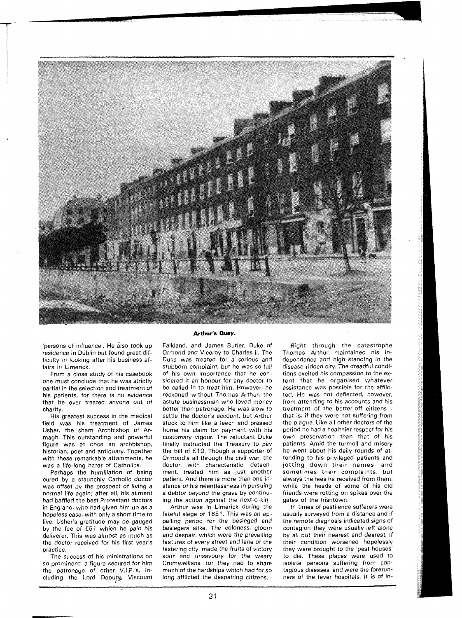

'persons of influence'. He also took up residence in Dublin but found great difficulty in looking after his business affairs in Limerick.

From a close study of his casebook one must conclude that he was strictly partial in the selection and treatment of his patients, for there is no evidence that he ever treated anyone out of charity.

His greatest success in the medical field was his treatment of James Usher. the sham Archbishop of Armagh. This outstanding and powerful figure was at once an archbishop, historian, poet and antiquary. Together with these remarkable attainments, he was a life-long hater of Catholics.

Perhaps the humiliation of being cured by a staunchly Catholic doctor was offset by the prospect of living a normal life again; after all, his ailment had baffled the best Protestant doctors in England, who had given him up as a hopeless case, with only a short time to live. Usher's gratitude may be gauged by the fee of £51 which he paid his deliverer. This was almost as much as the doctor received for his first year's practice.

The success of his ministrations on so prominent a figure secured for him the patronage of other V.I.P.'s, including the Lord Deputy. Viscount

## **Arthur's Quay.**

Falkland, and James Butler, Duke of Ormond and Viceroy to Charles II. The Duke was treated for a serious and stubborn complaint, but he was so full of his own importance that he considered it an honour for any doctor to be called in to treat him. However, he reckoned without Thomas Arthur, the astute businessman who loved money better than patronage. He was slow to settle the doctor's account, but Arthur stuck to him like a leech and pressed home his claim for payment with his customary vigour. The reluctant Duke finally instructed the Treasury to pay the bill of £ 10. Though a supporter of Ormond's all through the civil war, the doctor, with characteristic detachment, treated him as just another patient. And there is more than one instance of his relentlessness in pursuing a debtor beyond the grave by continuing the action against the next-o-kin.

Arthur was in Limerick during the fateful siege of 1651. This was an appalling period for the besieged and besiegers alike. The coldness, gloom and despair, which were the prevailing features of every street and lane of the festering city, made the fruits of victory sour and unsavoury for the weary Cromwellians, for they had to share much of the hardships which had for so long afflicted the despairing citizens.

Right through the catastrophe Thomas Arthur maintained his independence and high standing in the disease-ridden city. The dreadful conditions excited his compassion to the extent that he organised whatever assistance was possible for the afflicted. He was not deflected, however, from attending to his accounts and his treatment of the better-off citizens that is, if they were not suffering from the plague. Like all other doctors of the period he had a healthier respect for his own preservation than that of his patients. Amid the turmoil and misery he went about his daily rounds of attending to his privileged patients and jotting down their names, and sometimes their complaints, but always the fees he received from them, while the heads of some of his old friends were rotting on spikes over the gates of the Irishtown.

In times of pestilence sufferers were usually surveyed from a distance and if the remote diagnosis indicated signs of contagion they were usually left alone by all but their nearest and dearest. If their condition worsened hopelessly they were brought to the 'pest houses' to die. These places were used to isolate persons suffering from contagious diseases, and were the forerunners of the fever hospitals. It is of in